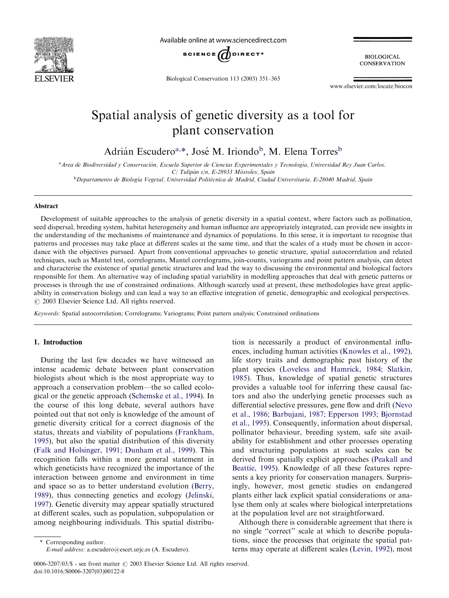

Available online at www.sciencedirect.com



Biological Conservation 113 (2003) 351–365

**BIOLOGICAL CONSERVATION** 

[www.elsevier.com/locate/biocon](http://www.elsevier.com/locate/biocon/a4.3d)

# Spatial analysis of genetic diversity as a tool for plant conservation

Adrián Escudero<sup>a,\*</sup>, José M. Iriondo<sup>[b](#page-0-0)</sup>, M. Elena Torres<sup>b</sup>

<sup>a</sup> Area de Biodiversidad y Conservación, Escuela Superior de Ciencias Experimentales y Tecnología, Universidad Rey Juan Carlos. C/ Tulipán s/n, E-28933 Móstoles, Spain

<sup>b</sup>Departamento de Biología Vegetal, Universidad Politécnica de Madrid, Ciudad Universitaria, E-28040 Madrid, Spain

#### Abstract

Development of suitable approaches to the analysis of genetic diversity in a spatial context, where factors such as pollination, seed dispersal, breeding system, habitat heterogeneity and human influence are appropriately integrated, can provide new insights in the understanding of the mechanisms of maintenance and dynamics of populations. In this sense, it is important to recognise that patterns and processes may take place at different scales at the same time, and that the scales of a study must be chosen in accordance with the objectives pursued. Apart from conventional approaches to genetic structure, spatial autocorrelation and related techniques, such as Mantel test, correlograms, Mantel correlograms, join-counts, variograms and point pattern analysis, can detect and characterise the existence of spatial genetic structures and lead the way to discussing the environmental and biological factors responsible for them. An alternative way of including spatial variability in modelling approaches that deal with genetic patterns or processes is through the use of constrained ordinations. Although scarcely used at present, these methodologies have great applicability in conservation biology and can lead a way to an effective integration of genetic, demographic and ecological perspectives.  $\odot$  2003 Elsevier Science Ltd. All rights reserved.

Keywords: Spatial autocorrelation; Correlograms; Variograms; Point pattern analysis; Constrained ordinations

## 1. Introduction

Corresponding author.

During the last few decades we have witnessed an intense academic debate between plant conservation biologists about which is the most appropriate way to approach a conservation problem—the so called ecological or the genetic approach ([Schemske et al., 1994\)](#page-13-0). In the course of this long debate, several authors have pointed out that not only is knowledge of the amount of genetic diversity critical for a correct diagnosis of the status, threats and viability of populations ([Frankham,](#page-12-0) [1995\)](#page-12-0), but also the spatial distribution of this diversity [\(Falk and Holsinger, 1991; Dunham et al., 1999\)](#page-12-0). This recognition falls within a more general statement in which geneticists have recognized the importance of the interaction between genome and environment in time and space so as to better understand evolution [\(Berry,](#page-11-0) [1989\)](#page-11-0), thus connecting genetics and ecology ([Jelinski,](#page-12-0) [1997\)](#page-12-0). Genetic diversity may appear spatially structured at different scales, such as population, subpopulation or among neighbouring individuals. This spatial distribu-

Although there is considerable agreement that there is no single ''correct'' scale at which to describe populations, since the processes that originate the spatial patterns may operate at different scales [\(Levin, 1992](#page-13-0)), most

<span id="page-0-0"></span>E-mail address: [a.escudero@escet.urjc.es](mailto:a.escudero@escet.urjc.es) (A. Escudero).

tion is necessarily a product of environmental influences, including human activities [\(Knowles et al., 1992\)](#page-12-0), life story traits and demographic past history of the plant species [\(Loveless and Hamrick, 1984; Slatkin,](#page-13-0) [1985\)](#page-13-0). Thus, knowledge of spatial genetic structures provides a valuable tool for inferring these causal factors and also the underlying genetic processes such as differential selective pressures, gene flow and drift ([Nevo](#page-13-0) [et al., 1986; Barbujani, 1987; Epperson 1993; Bjornstad](#page-13-0) [et al., 1995\)](#page-13-0). Consequently, information about dispersal, pollinator behaviour, breeding system, safe site availability for establishment and other processes operating and structuring populations at such scales can be derived from spatially explicit approaches [\(Peakall and](#page-13-0) [Beattie, 1995\)](#page-13-0). Knowledge of all these features represents a key priority for conservation managers. Surprisingly, however, most genetic studies on endangered plants either lack explicit spatial considerations or analyse them only at scales where biological interpretations at the population level are not straightforward.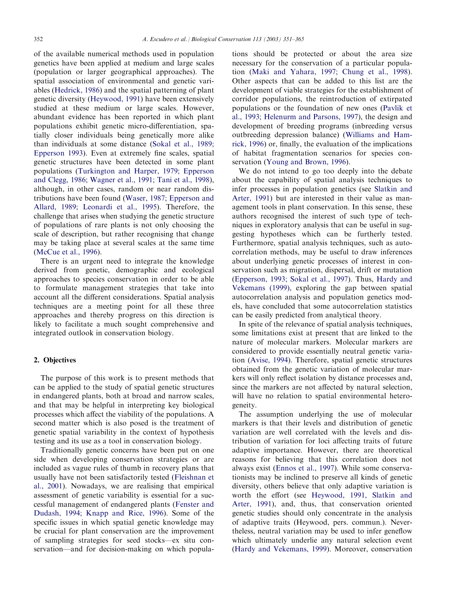of the available numerical methods used in population genetics have been applied at medium and large scales (population or larger geographical approaches). The spatial association of environmental and genetic variables [\(Hedrick, 1986](#page-12-0)) and the spatial patterning of plant genetic diversity ([Heywood, 1991](#page-12-0)) have been extensively studied at these medium or large scales. However, abundant evidence has been reported in which plant populations exhibit genetic micro-differentiation, spatially closer individuals being genetically more alike than individuals at some distance [\(Sokal et al., 1989;](#page-14-0) [Epperson 1993\)](#page-14-0). Even at extremely fine scales, spatial genetic structures have been detected in some plant populations [\(Turkington and Harper, 1979; Epperson](#page-14-0) [and Clegg, 1986; Wagner et al., 1991; Tani et al., 1998\)](#page-14-0), although, in other cases, random or near random distributions have been found [\(Waser, 1987; Epperson and](#page-14-0) [Allard, 1989; Leonardi et al., 1995](#page-14-0)). Therefore, the challenge that arises when studying the genetic structure of populations of rare plants is not only choosing the scale of description, but rather recognising that change may be taking place at several scales at the same time [\(McCue et al., 1996](#page-13-0)).

There is an urgent need to integrate the knowledge derived from genetic, demographic and ecological approaches to species conservation in order to be able to formulate management strategies that take into account all the different considerations. Spatial analysis techniques are a meeting point for all these three approaches and thereby progress on this direction is likely to facilitate a much sought comprehensive and integrated outlook in conservation biology.

## 2. Objectives

The purpose of this work is to present methods that can be applied to the study of spatial genetic structures in endangered plants, both at broad and narrow scales, and that may be helpful in interpreting key biological processes which affect the viability of the populations. A second matter which is also posed is the treatment of genetic spatial variability in the context of hypothesis testing and its use as a tool in conservation biology.

Traditionally genetic concerns have been put on one side when developing conservation strategies or are included as vague rules of thumb in recovery plans that usually have not been satisfactorily tested [\(Fleishnan et](#page-12-0) [al., 2001\)](#page-12-0). Nowadays, we are realising that empirical assessment of genetic variability is essential for a successful management of endangered plants [\(Fenster and](#page-12-0) [Dudash, 1994; Knapp and Rice, 1996\)](#page-12-0). Some of the specific issues in which spatial genetic knowledge may be crucial for plant conservation are the improvement of sampling strategies for seed stocks—ex situ conservation—and for decision-making on which populations should be protected or about the area size necessary for the conservation of a particular population [\(Maki and Yahara, 1997; Chung et al., 1998\)](#page-13-0). Other aspects that can be added to this list are the development of viable strategies for the establishment of corridor populations, the reintroduction of extirpated populations or the foundation of new ones ([Pavlik et](#page-13-0) [al., 1993; Helenurm and Parsons, 1997\)](#page-13-0), the design and development of breeding programs (inbreeding versus outbreeding depression balance) [\(Williams and Ham](#page-14-0)[rick, 1996\)](#page-14-0) or, finally, the evaluation of the implications of habitat fragmentation scenarios for species conservation [\(Young and Brown, 1996\)](#page-14-0).

We do not intend to go too deeply into the debate about the capability of spatial analysis techniques to infer processes in population genetics (see [Slatkin and](#page-13-0) [Arter, 1991](#page-13-0)) but are interested in their value as management tools in plant conservation. In this sense, these authors recognised the interest of such type of techniques in exploratory analysis that can be useful in suggesting hypotheses which can be furtherly tested. Furthermore, spatial analysis techniques, such as autocorrelation methods, may be useful to draw inferences about underlying genetic processes of interest in conservation such as migration, dispersal, drift or mutation [\(Epperson, 1993; Sokal et al., 1997\)](#page-11-0). Thus, [Hardy and](#page-12-0) [Vekemans \(1999\)](#page-12-0), exploring the gap between spatial autocorrelation analysis and population genetics models, have concluded that some autocorrelation statistics can be easily predicted from analytical theory.

In spite of the relevance of spatial analysis techniques, some limitations exist at present that are linked to the nature of molecular markers. Molecular markers are considered to provide essentially neutral genetic variation ([Avise, 1994\)](#page-11-0). Therefore, spatial genetic structures obtained from the genetic variation of molecular markers will only reflect isolation by distance processes and, since the markers are not affected by natural selection, will have no relation to spatial environmental heterogeneity.

The assumption underlying the use of molecular markers is that their levels and distribution of genetic variation are well correlated with the levels and distribution of variation for loci affecting traits of future adaptive importance. However, there are theoretical reasons for believing that this correlation does not always exist ([Ennos et al., 1997](#page-11-0)). While some conservationists may be inclined to preserve all kinds of genetic diversity, others believe that only adaptive variation is worth the effort (see [Heywood, 1991, Slatkin and](#page-12-0) [Arter, 1991](#page-12-0)), and, thus, that conservation oriented genetic studies should only concentrate in the analysis of adaptive traits (Heywood, pers. commun.). Nevertheless, neutral variation may be used to infer geneflow which ultimately underlie any natural selection event [\(Hardy and Vekemans, 1999](#page-12-0)). Moreover, conservation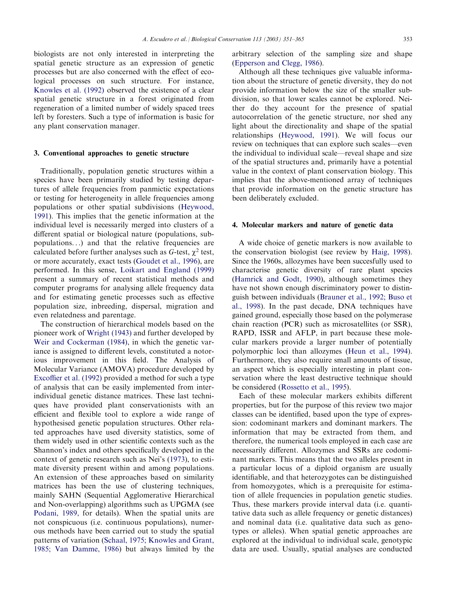biologists are not only interested in interpreting the spatial genetic structure as an expression of genetic processes but are also concerned with the effect of ecological processes on such structure. For instance, [Knowles et al. \(1992\)](#page-12-0) observed the existence of a clear spatial genetic structure in a forest originated from regeneration of a limited number of widely spaced trees left by foresters. Such a type of information is basic for any plant conservation manager.

#### 3. Conventional approaches to genetic structure

Traditionally, population genetic structures within a species have been primarily studied by testing departures of allele frequencies from panmictic expectations or testing for heterogeneity in allele frequencies among populations or other spatial subdivisions ([Heywood,](#page-12-0) [1991\)](#page-12-0). This implies that the genetic information at the individual level is necessarily merged into clusters of a different spatial or biological nature (populations, subpopulations...) and that the relative frequencies are calculated before further analyses such as G-test,  $\chi^2$  test, or more accurately, exact tests [\(Goudet et al., 1996\)](#page-12-0), are performed. In this sense, [Loikart and England \(1999\)](#page-13-0) present a summary of recent statistical methods and computer programs for analysing allele frequency data and for estimating genetic processes such as effective population size, inbreeding, dispersal, migration and even relatedness and parentage.

The construction of hierarchical models based on the pioneer work of [Wright \(1943\)](#page-14-0) and further developed by [Weir and Cockerman \(1984\)](#page-14-0), in which the genetic variance is assigned to different levels, constituted a notorious improvement in this field. The Analysis of Molecular Variance (AMOVA) procedure developed by Excoffi[er et al. \(1992\)](#page-12-0) provided a method for such a type of analysis that can be easily implemented from interindividual genetic distance matrices. These last techniques have provided plant conservationists with an efficient and flexible tool to explore a wide range of hypothesised genetic population structures. Other related approaches have used diversity statistics, some of them widely used in other scientific contexts such as the Shannon's index and others specifically developed in the context of genetic research such as Nei's [\(1973](#page-13-0)), to estimate diversity present within and among populations. An extension of these approaches based on similarity matrices has been the use of clustering techniques, mainly SAHN (Sequential Agglomerative Hierarchical and Non-overlapping) algorithms such as UPGMA (see [Podani, 1989,](#page-13-0) for details). When the spatial units are not conspicuous (i.e. continuous populations), numerous methods have been carried out to study the spatial patterns of variation [\(Schaal, 1975; Knowles and Grant,](#page-13-0) [1985; Van Damme, 1986\)](#page-13-0) but always limited by the arbitrary selection of the sampling size and shape [\(Epperson and Clegg, 1986\)](#page-11-0).

Although all these techniques give valuable information about the structure of genetic diversity, they do not provide information below the size of the smaller subdivision, so that lower scales cannot be explored. Neither do they account for the presence of spatial autocorrelation of the genetic structure, nor shed any light about the directionality and shape of the spatial relationships ([Heywood, 1991](#page-12-0)). We will focus our review on techniques that can explore such scales—even the individual to individual scale—reveal shape and size of the spatial structures and, primarily have a potential value in the context of plant conservation biology. This implies that the above-mentioned array of techniques that provide information on the genetic structure has been deliberately excluded.

#### 4. Molecular markers and nature of genetic data

A wide choice of genetic markers is now available to the conservation biologist (see review by [Haig, 1998\)](#page-12-0). Since the 1960s, allozymes have been succesfully used to characterise genetic diversity of rare plant species [\(Hamrick and Godt, 1990](#page-12-0)), although sometimes they have not shown enough discriminatory power to distinguish between individuals [\(Brauner et al., 1992; Buso et](#page-11-0) [al., 1998\)](#page-11-0). In the past decade, DNA techniques have gained ground, especially those based on the polymerase chain reaction (PCR) such as microsatellites (or SSR), RAPD, ISSR and AFLP, in part because these molecular markers provide a larger number of potentially polymorphic loci than allozymes ([Heun et al., 1994\)](#page-12-0). Furthermore, they also require small amounts of tissue, an aspect which is especially interesting in plant conservation where the least destructive technique should be considered ([Rossetto et al., 1995\)](#page-13-0).

Each of these molecular markers exhibits different properties, but for the purpose of this review two major classes can be identified, based upon the type of expression: codominant markers and dominant markers. The information that may be extracted from them, and therefore, the numerical tools employed in each case are necessarily different. Allozymes and SSRs are codominant markers. This means that the two alleles present in a particular locus of a diploid organism are usually identifiable, and that heterozygotes can be distinguished from homozygotes, which is a prerequisite for estimation of allele frequencies in population genetic studies. Thus, these markers provide interval data (i.e. quantitative data such as allele frequency or genetic distances) and nominal data (i.e. qualitative data such as genotypes or alleles). When spatial genetic approaches are explored at the individual to individual scale, genotypic data are used. Usually, spatial analyses are conducted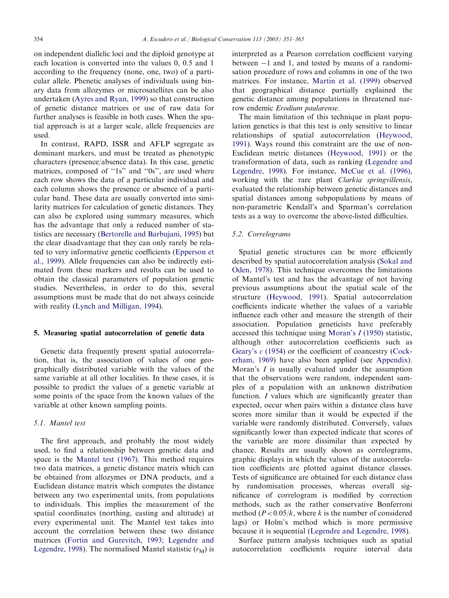on independent diallelic loci and the diploid genotype at each location is converted into the values 0, 0.5 and 1 according to the frequency (none, one, two) of a particular allele. Phenetic analyses of individuals using binary data from allozymes or microsatellites can be also undertaken (Ayres and Ryan, 1999) so that construction of genetic distance matrices or use of raw data for further analyses is feasible in both cases. When the spatial approach is at a larger scale, allele frequencies are used.

In contrast, RAPD, ISSR and AFLP segregate as dominant markers, and must be treated as phenotypic characters (presence/absence data). In this case, genetic matrices, composed of "1s" and "0s", are used where each row shows the data of a particular individual and each column shows the presence or absence of a particular band. These data are usually converted into similarity matrices for calculation of genetic distances. They can also be explored using summary measures, which has the advantage that only a reduced number of statistics are necessary [\(Bertorelle and Barbujani, 1995\)](#page-11-0) but the clear disadvantage that they can only rarely be related to very informative genetic coefficients [\(Epperson et](#page-12-0) [al., 1999](#page-12-0)). Allele frequencies can also be indirectly estimated from these markers and results can be used to obtain the classical parameters of population genetic studies. Nevertheless, in order to do this, several assumptions must be made that do not always coincide with reality ([Lynch and Milligan, 1994\)](#page-13-0).

## 5. Measuring spatial autocorrelation of genetic data

Genetic data frequently present spatial autocorrelation, that is, the association of values of one geographically distributed variable with the values of the same variable at all other localities. In these cases, it is possible to predict the values of a genetic variable at some points of the space from the known values of the variable at other known sampling points.

# 5.1. Mantel test

The first approach, and probably the most widely used, to find a relationship between genetic data and space is the [Mantel test \(1967\)](#page-13-0). This method requires two data matrices, a genetic distance matrix which can be obtained from allozymes or DNA products, and a Euclidean distance matrix which computes the distance between any two experimental units, from populations to individuals. This implies the measurement of the spatial coordinates (northing, easting and altitude) at every experimental unit. The Mantel test takes into account the correlation between these two distance matrices [\(Fortin and Gurevitch, 1993; Legendre and](#page-12-0) [Legendre, 1998\)](#page-12-0). The normalised Mantel statistic  $(r_M)$  is interpreted as a Pearson correlation coefficient varying between  $-1$  and 1, and tested by means of a randomisation procedure of rows and columns in one of the two matrices. For instance, Martin et al. (1999) observed that geographical distance partially explained the genetic distance among populations in threatened narrow endemic Erodium paularense.

The main limitation of this technique in plant population genetics is that this test is only sensitive to linear relationships of spatial autocorrelation ([Heywood,](#page-12-0) [1991\)](#page-12-0). Ways round this constraint are the use of non-Euclidean metric distances ([Heywood, 1991](#page-12-0)) or the transformation of data, such as ranking ([Legendre and](#page-11-0) [Legendre, 1998\)](#page-11-0). For instance, [McCue et al. \(1996\)](#page-13-0). working with the rare plant Clarkia springvillensis, evaluated the relationship between genetic distances and spatial distances among subpopulations by means of non-parametric Kendall's and Sparman's correlation tests as a way to overcome the above-listed difficulties.

## 5.2. Correlograms

Spatial genetic structures can be more efficiently described by spatial autocorrelation analysis ([Sokal and](#page-14-0) [Oden, 1978\)](#page-14-0). This technique overcomes the limitations of Mantel's test and has the advantage of not having previous assumptions about the spatial scale of the structure [\(Heywood, 1991](#page-12-0)). Spatial autocorrelation coefficients indicate whether the values of a variable influence each other and measure the strength of their association. Population geneticists have preferably accessed this technique using [Moran's](#page-13-0) I (1950) statistic, although other autocorrelation coefficients such as [Geary's](#page-12-0) c (1954) or the coefficient of coancestry [\(Cock](#page-11-0)[erham, 1969](#page-11-0)) have also been applied (see [Appendix\)](#page-9-0). Moran's  $I$  is usually evaluated under the assumption that the observations were random, independent samples of a population with an unknown distribution function. I values which are significantly greater than expected, occur when pairs within a distance class have scores more similar than it would be expected if the variable were randomly distributed. Conversely, values significantly lower than expected indicate that scores of the variable are more dissimilar than expected by chance. Results are usually shown as correlograms, graphic displays in which the values of the autocorrelation coefficients are plotted against distance classes. Tests of significance are obtained for each distance class by randomisation processes, whereas overall significance of correlogram is modified by correction methods, such as the rather conservative Bonferroni method  $(P<0.05/k$ , where k is the number of considered lags) or Holm's method which is more permissive because it is sequential ([Legendre and Legendre, 1998](#page-13-0)).

Surface pattern analysis techniques such as spatial autocorrelation coefficients require interval data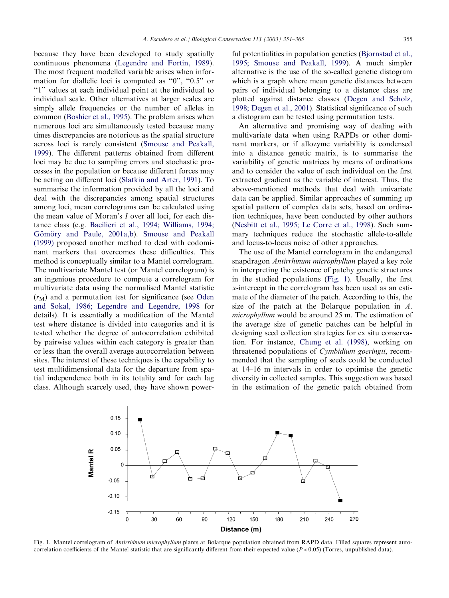because they have been developed to study spatially continuous phenomena ([Legendre and Fortin, 1989\)](#page-13-0). The most frequent modelled variable arises when information for diallelic loci is computed as "0", "0.5" or ''1'' values at each individual point at the individual to individual scale. Other alternatives at larger scales are simply allele frequencies or the number of alleles in common [\(Boshier et al., 1995](#page-11-0)). The problem arises when numerous loci are simultaneously tested because many times discrepancies are notorious as the spatial structure across loci is rarely consistent [\(Smouse and Peakall,](#page-14-0) [1999\)](#page-14-0). The different patterns obtained from different loci may be due to sampling errors and stochastic processes in the population or because different forces may be acting on different loci [\(Slatkin and Arter, 1991\)](#page-13-0). To summarise the information provided by all the loci and deal with the discrepancies among spatial structures among loci, mean correlograms can be calculated using the mean value of Moran's I over all loci, for each distance class (e.g. [Bacilieri et al., 1994; Williams, 1994;](#page-11-0) Gömöry and Paule, 2001a,b). [Smouse and Peakall](#page-14-0) [\(1999\)](#page-14-0) proposed another method to deal with codominant markers that overcomes these difficulties. This method is conceptually similar to a Mantel correlogram. The multivariate Mantel test (or Mantel correlogram) is an ingenious procedure to compute a correlogram for multivariate data using the normalised Mantel statistic  $(r_M)$  and a permutation test for significance (see [Oden](#page-13-0) [and Sokal, 1986; Legendre and Legendre, 1998](#page-13-0) for details). It is essentially a modification of the Mantel test where distance is divided into categories and it is tested whether the degree of autocorrelation exhibited by pairwise values within each category is greater than or less than the overall average autocorrelation between sites. The interest of these techniques is the capability to test multidimensional data for the departure from spatial independence both in its totality and for each lag class. Although scarcely used, they have shown powerful potentialities in population genetics [\(Bjornstad et al.,](#page-11-0) [1995; Smouse and Peakall, 1999](#page-11-0)). A much simpler alternative is the use of the so-called genetic distogram which is a graph where mean genetic distances between pairs of individual belonging to a distance class are plotted against distance classes ([Degen and Scholz,](#page-11-0) [1998; Degen et al., 2001](#page-11-0)). Statistical significance of such a distogram can be tested using permutation tests.

An alternative and promising way of dealing with multivariate data when using RAPDs or other dominant markers, or if allozyme variability is condensed into a distance genetic matrix, is to summarise the variability of genetic matrices by means of ordinations and to consider the value of each individual on the first extracted gradient as the variable of interest. Thus, the above-mentioned methods that deal with univariate data can be applied. Similar approaches of summing up spatial pattern of complex data sets, based on ordination techniques, have been conducted by other authors [\(Nesbitt et al., 1995; Le Corre et al., 1998\)](#page-13-0). Such summary techniques reduce the stochastic allele-to-allele and locus-to-locus noise of other approaches.

The use of the Mantel correlogram in the endangered snapdragon Antirrhinum microphyllum played a key role in interpreting the existence of patchy genetic structures in the studied populations ([Fig. 1\)](#page-4-0). Usually, the first x-intercept in the correlogram has been used as an estimate of the diameter of the patch. According to this, the size of the patch at the Bolarque population in A. microphyllum would be around 25 m. The estimation of the average size of genetic patches can be helpful in designing seed collection strategies for ex situ conservation. For instance, [Chung et al. \(1998\)](#page-11-0), working on threatened populations of Cymbidium goeringii, recommended that the sampling of seeds could be conducted at 14–16 m intervals in order to optimise the genetic diversity in collected samples. This suggestion was based in the estimation of the genetic patch obtained from



<span id="page-4-0"></span>Fig. 1. Mantel correlogram of Antirrhinum microphyllum plants at Bolarque population obtained from RAPD data. Filled squares represent autocorrelation coefficients of the Mantel statistic that are significantly different from their expected value  $(P<0.05)$  (Torres, unpublished data).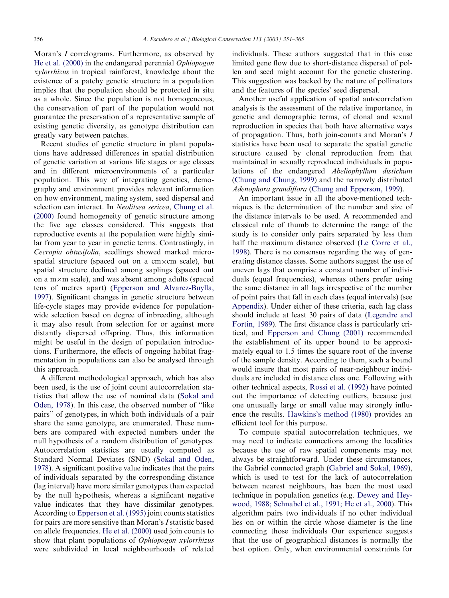Moran's I correlograms. Furthermore, as observed by [He et al. \(2000\)](#page-12-0) in the endangered perennial Ophiopogon xylorrhizus in tropical rainforest, knowledge about the existence of a patchy genetic structure in a population implies that the population should be protected in situ as a whole. Since the population is not homogeneous, the conservation of part of the population would not guarantee the preservation of a representative sample of existing genetic diversity, as genotype distribution can greatly vary between patches.

Recent studies of genetic structure in plant populations have addressed differences in spatial distribution of genetic variation at various life stages or age classes and in different microenvironments of a particular population. This way of integrating genetics, demography and environment provides relevant information on how environment, mating system, seed dispersal and selection can interact. In Neolitsea sericea, [Chung et al.](#page-11-0) [\(2000\)](#page-11-0) found homogeneity of genetic structure among the five age classes considered. This suggests that reproductive events at the population were highly similar from year to year in genetic terms. Contrastingly, in Cecropia obtusifolia, seedlings showed marked microspatial structure (spaced out on a  $cm \times cm$  scale), but spatial structure declined among saplings (spaced out on a m $\times$ m scale), and was absent among adults (spaced tens of metres apart) ([Epperson and Alvarez-Buylla,](#page-11-0) [1997\)](#page-11-0). Significant changes in genetic structure between life-cycle stages may provide evidence for populationwide selection based on degree of inbreeding, although it may also result from selection for or against more distantly dispersed offspring. Thus, this information might be useful in the design of population introductions. Furthermore, the effects of ongoing habitat fragmentation in populations can also be analysed through this approach.

A different methodological approach, which has also been used, is the use of joint count autocorrelation statistics that allow the use of nominal data [\(Sokal and](#page-14-0) [Oden, 1978\)](#page-14-0). In this case, the observed number of ''like pairs'' of genotypes, in which both individuals of a pair share the same genotype, are enumerated. These numbers are compared with expected numbers under the null hypothesis of a random distribution of genotypes. Autocorrelation statistics are usually computed as Standard Normal Deviates (SND) [\(Sokal and Oden,](#page-14-0) [1978\)](#page-14-0). A significant positive value indicates that the pairs of individuals separated by the corresponding distance (lag interval) have more similar genotypes than expected by the null hypothesis, whereas a significant negative value indicates that they have dissimilar genotypes. According to [Epperson et al. \(1995\)](#page-11-0) joint counts statistics for pairs are more sensitive than Moran's I statistic based on allele frequencies. [He et al. \(2000\)](#page-12-0) used join counts to show that plant populations of Ophiopogon xylorrhizus were subdivided in local neighbourhoods of related individuals. These authors suggested that in this case limited gene flow due to short-distance dispersal of pollen and seed might account for the genetic clustering. This suggestion was backed by the nature of pollinators and the features of the species' seed dispersal.

Another useful application of spatial autocorrelation analysis is the assessment of the relative importance, in genetic and demographic terms, of clonal and sexual reproduction in species that both have alternative ways of propagation. Thus, both join-counts and Moran's I statistics have been used to separate the spatial genetic structure caused by clonal reproduction from that maintained in sexually reproduced individuals in populations of the endangered Abeliophyllum distichum [\(Chung and Chung, 1999\)](#page-11-0) and the narrowly distributed Adenophora grandiflora [\(Chung and Epperson, 1999](#page-11-0)).

An important issue in all the above-mentioned techniques is the determination of the number and size of the distance intervals to be used. A recommended and classical rule of thumb to determine the range of the study is to consider only pairs separated by less than half the maximum distance observed ([Le Corre et al.,](#page-12-0) [1998\)](#page-12-0). There is no consensus regarding the way of generating distance classes. Some authors suggest the use of uneven lags that comprise a constant number of individuals (equal frequencies), whereas others prefer using the same distance in all lags irrespective of the number of point pairs that fall in each class (equal intervals) (see [Appendix\)](#page-9-0). Under either of these criteria, each lag class should include at least 30 pairs of data [\(Legendre and](#page-13-0) [Fortin, 1989](#page-13-0)). The first distance class is particularly critical, and [Epperson and Chung \(2001\)](#page-12-0) recommended the establishment of its upper bound to be approximately equal to 1.5 times the square root of the inverse of the sample density. According to them, such a bound would insure that most pairs of near-neighbour individuals are included in distance class one. Following with other technical aspects, [Rossi et al. \(1992\)](#page-13-0) have pointed out the importance of detecting outliers, because just one unusually large or small value may strongly influence the results. [Hawkins's method \(1980\)](#page-12-0) provides an efficient tool for this purpose.

To compute spatial autocorrelation techniques, we may need to indicate connections among the localities because the use of raw spatial components may not always be straightforward. Under these circumstances, the Gabriel connected graph ([Gabriel and Sokal, 1969\)](#page-12-0), which is used to test for the lack of autocorrelation between nearest neighbours, has been the most used technique in population genetics (e.g. [Dewey and Hey](#page-11-0)[wood, 1988; Schnabel et al., 1991; He et al., 2000](#page-11-0)). This algorithm pairs two individuals if no other individual lies on or within the circle whose diameter is the line connecting those individuals Our experience suggests that the use of geographical distances is normally the best option. Only, when environmental constraints for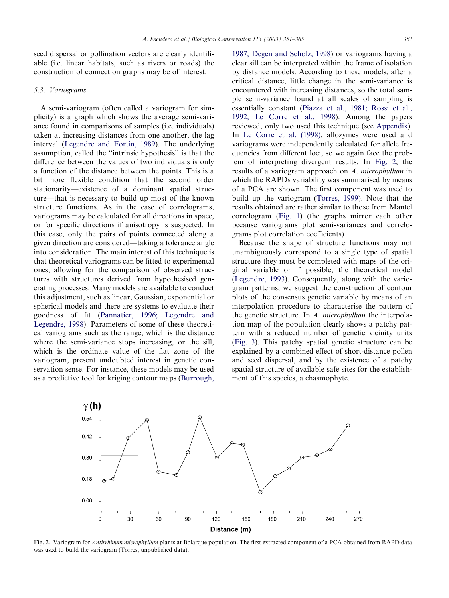seed dispersal or pollination vectors are clearly identifiable (i.e. linear habitats, such as rivers or roads) the construction of connection graphs may be of interest.

#### 5.3. Variograms

A semi-variogram (often called a variogram for simplicity) is a graph which shows the average semi-variance found in comparisons of samples (i.e. individuals) taken at increasing distances from one another, the lag interval [\(Legendre and Fortin, 1989\)](#page-13-0). The underlying assumption, called the ''intrinsic hypothesis'' is that the difference between the values of two individuals is only a function of the distance between the points. This is a bit more flexible condition that the second order stationarity—existence of a dominant spatial structure—that is necessary to build up most of the known structure functions. As in the case of correlograms, variograms may be calculated for all directions in space, or for specific directions if anisotropy is suspected. In this case, only the pairs of points connected along a given direction are considered—taking a tolerance angle into consideration. The main interest of this technique is that theoretical variograms can be fitted to experimental ones, allowing for the comparison of observed structures with structures derived from hypothesised generating processes. Many models are available to conduct this adjustment, such as linear, Gaussian, exponential or spherical models and there are systems to evaluate their goodness of fit [\(Pannatier, 1996; Legendre and](#page-13-0) [Legendre, 1998\)](#page-13-0). Parameters of some of these theoretical variograms such as the range, which is the distance where the semi-variance stops increasing, or the sill, which is the ordinate value of the flat zone of the variogram, present undoubted interest in genetic conservation sense. For instance, these models may be used as a predictive tool for kriging contour maps ([Burrough,](#page-11-0)

[1987; Degen and Scholz, 1998\)](#page-11-0) or variograms having a clear sill can be interpreted within the frame of isolation by distance models. According to these models, after a critical distance, little change in the semi-variance is encountered with increasing distances, so the total sample semi-variance found at all scales of sampling is essentially constant [\(Piazza et al., 1981; Rossi et al.,](#page-13-0) [1992; Le Corre et al., 1998\)](#page-13-0). Among the papers reviewed, only two used this technique (see [Appendix\)](#page-9-0). In [Le Corre et al. \(1998\)](#page-12-0), allozymes were used and variograms were independently calculated for allele frequencies from different loci, so we again face the problem of interpreting divergent results. In [Fig. 2](#page-6-0), the results of a variogram approach on A. microphyllum in which the RAPDs variability was summarised by means of a PCA are shown. The first component was used to build up the variogram ([Torres, 1999](#page-14-0)). Note that the results obtained are rather similar to those from Mantel correlogram ([Fig. 1\)](#page-4-0) (the graphs mirror each other because variograms plot semi-variances and correlograms plot correlation coefficients).

Because the shape of structure functions may not unambiguously correspond to a single type of spatial structure they must be completed with maps of the original variable or if possible, the theoretical model [\(Legendre, 1993\)](#page-13-0). Consequently, along with the variogram patterns, we suggest the construction of contour plots of the consensus genetic variable by means of an interpolation procedure to characterise the pattern of the genetic structure. In A. microphyllum the interpolation map of the population clearly shows a patchy pattern with a reduced number of genetic vicinity units [\(Fig. 3](#page-7-0)). This patchy spatial genetic structure can be explained by a combined effect of short-distance pollen and seed dispersal, and by the existence of a patchy spatial structure of available safe sites for the establishment of this species, a chasmophyte.



<span id="page-6-0"></span>Fig. 2. Variogram for Antirrhinum microphyllum plants at Bolarque population. The first extracted component of a PCA obtained from RAPD data was used to build the variogram (Torres, unpublished data).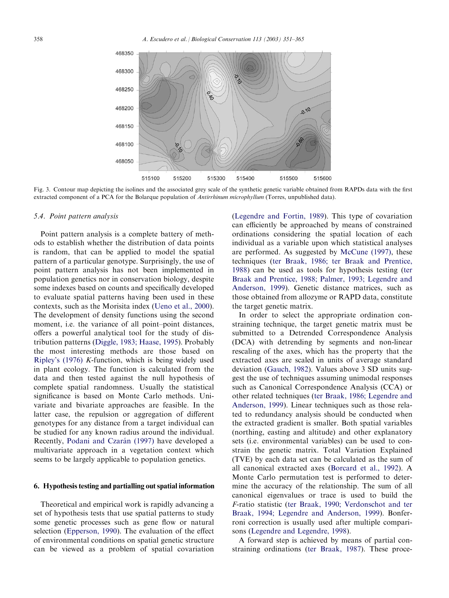

Fig. 3. Contour map depicting the isolines and the associated grey scale of the synthetic genetic variable obtained from RAPDs data with the first extracted component of a PCA for the Bolarque population of *Antirrhinum microphyllum* (Torres, unpublished data).

## 5.4. Point pattern analysis

Point pattern analysis is a complete battery of methods to establish whether the distribution of data points is random, that can be applied to model the spatial pattern of a particular genotype. Surprisingly, the use of point pattern analysis has not been implemented in population genetics nor in conservation biology, despite some indexes based on counts and specifically developed to evaluate spatial patterns having been used in these contexts, such as the Morisita index ([Ueno et al., 2000\)](#page-14-0). The development of density functions using the second moment, i.e. the variance of all point–point distances, offers a powerful analytical tool for the study of distribution patterns ([Diggle, 1983; Haase, 1995](#page-11-0)). Probably the most interesting methods are those based on [Ripley's \(1976\)](#page-13-0) K-function, which is being widely used in plant ecology. The function is calculated from the data and then tested against the null hypothesis of complete spatial randomness. Usually the statistical significance is based on Monte Carlo methods. Univariate and bivariate approaches are feasible. In the latter case, the repulsion or aggregation of different genotypes for any distance from a target individual can be studied for any known radius around the individual. Recently, Podani and Czarán (1997) have developed a multivariate approach in a vegetation context which seems to be largely applicable to population genetics.

#### 6. Hypothesis testing and partialling out spatial information

<span id="page-7-0"></span>Theoretical and empirical work is rapidly advancing a set of hypothesis tests that use spatial patterns to study some genetic processes such as gene flow or natural selection [\(Epperson, 1990](#page-11-0)). The evaluation of the effect of environmental conditions on spatial genetic structure can be viewed as a problem of spatial covariation

[\(Legendre and Fortin, 1989\)](#page-13-0). This type of covariation can efficiently be approached by means of constrained ordinations considering the spatial location of each individual as a variable upon which statistical analyses are performed. As suggested by [McCune \(1997\),](#page-13-0) these techniques [\(ter Braak, 1986; ter Braak and Prentice,](#page-14-0) [1988\)](#page-14-0) can be used as tools for hypothesis testing [\(ter](#page-14-0) [Braak and Prentice, 1988; Palmer, 1993; Legendre and](#page-14-0) [Anderson, 1999](#page-14-0)). Genetic distance matrices, such as those obtained from allozyme or RAPD data, constitute the target genetic matrix.

In order to select the appropriate ordination constraining technique, the target genetic matrix must be submitted to a Detrended Correspondence Analysis (DCA) with detrending by segments and non-linear rescaling of the axes, which has the property that the extracted axes are scaled in units of average standard deviation [\(Gauch, 1982\)](#page-12-0). Values above 3 SD units suggest the use of techniques assuming unimodal responses such as Canonical Correspondence Analysis (CCA) or other related techniques ([ter Braak, 1986; Legendre and](#page-14-0) [Anderson, 1999\)](#page-14-0). Linear techniques such as those related to redundancy analysis should be conducted when the extracted gradient is smaller. Both spatial variables (northing, easting and altitude) and other explanatory sets (i.e. environmental variables) can be used to constrain the genetic matrix. Total Variation Explained (TVE) by each data set can be calculated as the sum of all canonical extracted axes ([Borcard et al., 1992](#page-11-0)). A Monte Carlo permutation test is performed to determine the accuracy of the relationship. The sum of all canonical eigenvalues or trace is used to build the F-ratio statistic ([ter Braak, 1990; Verdonschot and ter](#page-14-0) [Braak, 1994; Legendre and Anderson, 1999\)](#page-14-0). Bonferroni correction is usually used after multiple comparisons ([Legendre and Legendre, 1998\)](#page-13-0).

A forward step is achieved by means of partial constraining ordinations [\(ter Braak, 1987\)](#page-14-0). These proce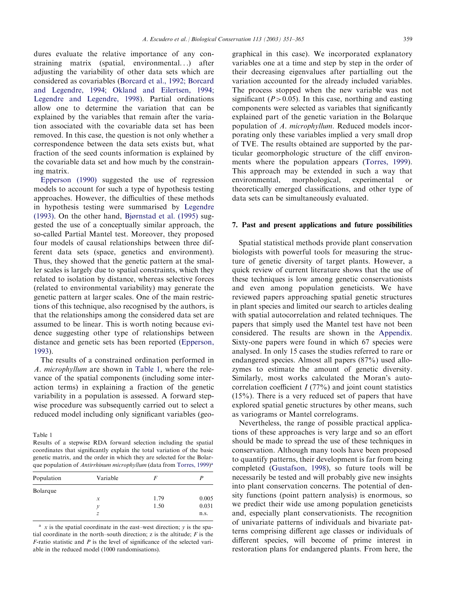dures evaluate the relative importance of any constraining matrix (spatial, environmental...) after adjusting the variability of other data sets which are considered as covariables [\(Borcard et al., 1992; Borcard](#page-11-0) [and Legendre, 1994; Okland and Eilertsen, 1994;](#page-11-0) [Legendre and Legendre, 1998](#page-11-0)). Partial ordinations allow one to determine the variation that can be explained by the variables that remain after the variation associated with the covariable data set has been removed. In this case, the question is not only whether a correspondence between the data sets exists but, what fraction of the seed counts information is explained by the covariable data set and how much by the constraining matrix.

[Epperson \(1990\)](#page-11-0) suggested the use of regression models to account for such a type of hypothesis testing approaches. However, the difficulties of these methods in hypothesis testing were summarised by [Legendre](#page-13-0) [\(1993\)](#page-13-0). On the other hand, [Bjørnstad et al. \(1995\)](#page-11-0) suggested the use of a conceptually similar approach, the so-called Partial Mantel test. Moreover, they proposed four models of causal relationships between three different data sets (space, genetics and environment). Thus, they showed that the genetic pattern at the smaller scales is largely due to spatial constraints, which they related to isolation by distance, whereas selective forces (related to environmental variability) may generate the genetic pattern at larger scales. One of the main restrictions of this technique, also recognised by the authors, is that the relationships among the considered data set are assumed to be linear. This is worth noting because evidence suggesting other type of relationships between distance and genetic sets has been reported [\(Epperson,](#page-11-0) [1993\)](#page-11-0).

The results of a constrained ordination performed in A. microphyllum are shown in [Table 1,](#page-8-0) where the relevance of the spatial components (including some interaction terms) in explaining a fraction of the genetic variability in a population is assessed. A forward stepwise procedure was subsequently carried out to select a reduced model including only significant variables (geo-

Table 1

Results of a stepwise RDA forward selection including the spatial coordinates that significantly explain the total variation of the basic genetic matrix, and the order in which they are selected for the Bolar-que population of Antirrhinum microphyllum (data from [Torres, 1999](#page-14-0))<sup>[a](#page-8-0)</sup>

| Population      | Variable      | F    | P     |
|-----------------|---------------|------|-------|
| <b>Bolarque</b> |               |      |       |
|                 | $\mathcal{X}$ | 1.79 | 0.005 |
|                 | ν             | 1.50 | 0.031 |
|                 | z             |      | n.s.  |

<span id="page-8-0"></span><sup>a</sup> x is the spatial coordinate in the east–west direction;  $\nu$  is the spatial coordinate in the north–south direction;  $z$  is the altitude;  $F$  is the  $F$ -ratio statistic and  $P$  is the level of significance of the selected variable in the reduced model (1000 randomisations).

graphical in this case). We incorporated explanatory variables one at a time and step by step in the order of their decreasing eigenvalues after partialling out the variation accounted for the already included variables. The process stopped when the new variable was not significant ( $P > 0.05$ ). In this case, northing and easting components were selected as variables that significantly explained part of the genetic variation in the Bolarque population of A. microphyllum. Reduced models incorporating only these variables implied a very small drop of TVE. The results obtained are supported by the particular geomorphologic structure of the cliff environments where the population appears [\(Torres, 1999\)](#page-14-0). This approach may be extended in such a way that environmental, morphological, experimental or theoretically emerged classifications, and other type of data sets can be simultaneously evaluated.

#### 7. Past and present applications and future possibilities

Spatial statistical methods provide plant conservation biologists with powerful tools for measuring the structure of genetic diversity of target plants. However, a quick review of current literature shows that the use of these techniques is low among genetic conservationists and even among population geneticists. We have reviewed papers approaching spatial genetic structures in plant species and limited our search to articles dealing with spatial autocorrelation and related techniques. The papers that simply used the Mantel test have not been considered. The results are shown in the [Appendix](#page-9-0). Sixty-one papers were found in which 67 species were analysed. In only 15 cases the studies referred to rare or endangered species. Almost all papers (87%) used allozymes to estimate the amount of genetic diversity. Similarly, most works calculated the Moran's autocorrelation coefficient  $I(77%)$  and joint count statistics (15%). There is a very reduced set of papers that have explored spatial genetic structures by other means, such as variograms or Mantel correlograms.

Nevertheless, the range of possible practical applications of these approaches is very large and so an effort should be made to spread the use of these techniques in conservation. Although many tools have been proposed to quantify patterns, their development is far from being completed [\(Gustafson, 1998\)](#page-12-0), so future tools will be necessarily be tested and will probably give new insights into plant conservation concerns. The potential of density functions (point pattern analysis) is enormous, so we predict their wide use among population geneticists and, especially plant conservationists. The recognition of univariate patterns of individuals and bivariate patterns comprising different age classes or individuals of different species, will become of prime interest in restoration plans for endangered plants. From here, the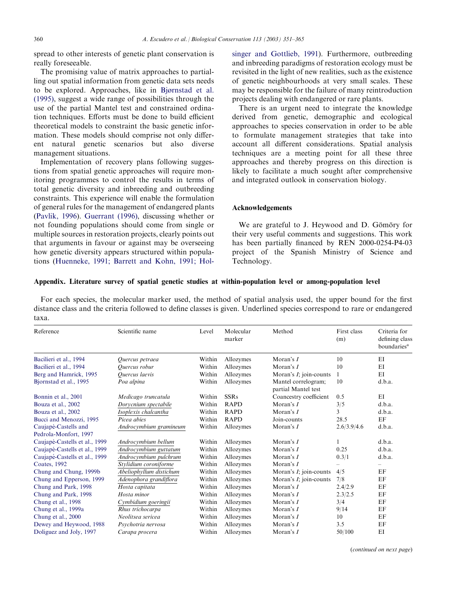spread to other interests of genetic plant conservation is really foreseeable.

The promising value of matrix approaches to partialling out spatial information from genetic data sets needs to be explored. Approaches, like in [Bjørnstad et al.](#page-11-0) [\(1995\)](#page-11-0), suggest a wide range of possibilities through the use of the partial Mantel test and constrained ordination techniques. Efforts must be done to build efficient theoretical models to constraint the basic genetic information. These models should comprise not only different natural genetic scenarios but also diverse management situations.

Implementation of recovery plans following suggestions from spatial genetic approaches will require monitoring programmes to control the results in terms of total genetic diversity and inbreeding and outbreeding constraints. This experience will enable the formulation of general rules for the management of endangered plants [\(Pavlik, 1996\)](#page-13-0). [Guerrant \(1996\)](#page-12-0), discussing whether or not founding populations should come from single or multiple sources in restoration projects, clearly points out that arguments in favour or against may be overseeing how genetic diversity appears structured within populations [\(Huenneke, 1991; Barrett and Kohn, 1991; Hol-](#page-12-0) [singer and Gottlieb, 1991](#page-12-0)). Furthermore, outbreeding and inbreeding paradigms of restoration ecology must be revisited in the light of new realities, such as the existence of genetic neighbourhoods at very small scales. These may be responsible for the failure of many reintroduction projects dealing with endangered or rare plants.

There is an urgent need to integrate the knowledge derived from genetic, demographic and ecological approaches to species conservation in order to be able to formulate management strategies that take into account all different considerations. Spatial analysis techniques are a meeting point for all these three approaches and thereby progress on this direction is likely to facilitate a much sought after comprehensive and integrated outlook in conservation biology.

# Acknowledgements

We are grateful to J. Heywood and D. Gömöry for their very useful comments and suggestions. This work has been partially financed by REN 2000-0254-P4-03 project of the Spanish Ministry of Science and Technology.

## Appendix. Literature survey of spatial genetic studies at within-population level or among-population level

For each species, the molecular marker used, the method of spatial analysis used, the upper bound for the first distance class and the criteria followed to define classes is given. Underlined species correspond to rare or endangered taxa.

<span id="page-9-0"></span>

| Reference                     | Scientific name         | Level  | Molecular<br>marker | Method                                     | First class<br>(m) | Criteria for<br>defining class<br>boundaries <sup>a</sup> |
|-------------------------------|-------------------------|--------|---------------------|--------------------------------------------|--------------------|-----------------------------------------------------------|
| Bacilieri et al., 1994        | Quercus petraea         | Within | Allozymes           | Moran's $I$                                | 10                 | EI                                                        |
| Bacilieri et al., 1994        | Ouercus robur           | Within | Allozymes           | Moran's $I$                                | 10                 | EI                                                        |
| Berg and Hamrick, 1995        | Ouercus laevis          | Within | Allozymes           | Moran's $I$ ; join-counts                  | 1                  | EI                                                        |
| Bjornstad et al., 1995        | Poa alpina              | Within | Allozymes           | Mantel correlogram;<br>partial Mantel test | 10                 | d.b.a.                                                    |
| Bonnin et al., 2001           | Medicago truncatula     | Within | <b>SSRs</b>         | Coancestry coefficient                     | 0.5                | E1                                                        |
| Bouza et al., 2002            | Dorycnium spectabile    | Within | <b>RAPD</b>         | Moran's $I$                                | 3/5                | d.b.a.                                                    |
| Bouza et al., 2002            | Isoplexis chalcantha    | Within | <b>RAPD</b>         | Moran's $I$                                | 3                  | d.b.a.                                                    |
| Bucci and Menozzi, 1995       | Picea abies             | Within | <b>RAPD</b>         | Join-counts                                | 28.5               | EF                                                        |
| Caujapé-Castells and          | Androcymbium gramineum  | Within | Allozymes           | Moran's $I$                                | 2.6/3.9/4.6        | d.b.a.                                                    |
| Pedrola-Monfort, 1997         |                         |        |                     |                                            |                    |                                                           |
| Caujapé-Castells et al., 1999 | Androcymbium bellum     | Within | Allozymes           | Moran's $I$                                |                    | d.b.a.                                                    |
| Caujapé-Castells et al., 1999 | Androcymbium guttatum   | Within | Allozymes           | Moran's $I$                                | 0.25               | d.b.a.                                                    |
| Caujapé-Castells et al., 1999 | Androcymbium pulchrum   | Within | Allozymes           | Moran's $I$                                | 0.3/1              | d.b.a.                                                    |
| Coates, 1992                  | Stylidium coroniforme   | Within | Allozymes           | Moran's $I$                                |                    |                                                           |
| Chung and Chung, 1999b        | Abeliophyllum distichum | Within | Allozymes           | Moran's $I$ ; join-counts                  | 4/5                | EF                                                        |
| Chung and Epperson, 1999      | Adenophora grandiflora  | Within | Allozymes           | Moran's $I$ ; join-counts                  | 7/8                | EF                                                        |
| Chung and Park, 1998          | Hosta capitata          | Within | Allozymes           | Moran's $I$                                | 2.4/2.9            | EF                                                        |
| Chung and Park, 1998          | Hosta minor             | Within | Allozymes           | Moran's $I$                                | 2.3/2.5            | EF                                                        |
| Chung et al., 1998            | Cymbidium goeringii     | Within | Allozymes           | Moran's $I$                                | 3/4                | EF                                                        |
| Chung et al., 1999a           | Rhus trichocarpa        | Within | Allozymes           | Moran's $I$                                | 9/14               | EF                                                        |
| Chung et al., 2000            | Neolitsea sericea       | Within | Allozymes           | Moran's $I$                                | 10                 | EF                                                        |
| Dewey and Heywood, 1988       | Psychotria nervosa      | Within | Allozymes           | Moran's $I$                                | 3.5                | EF                                                        |
| Doliguez and Joly, 1997       | Carapa procera          | Within | Allozymes           | Moran's $I$                                | 50/100             | EI                                                        |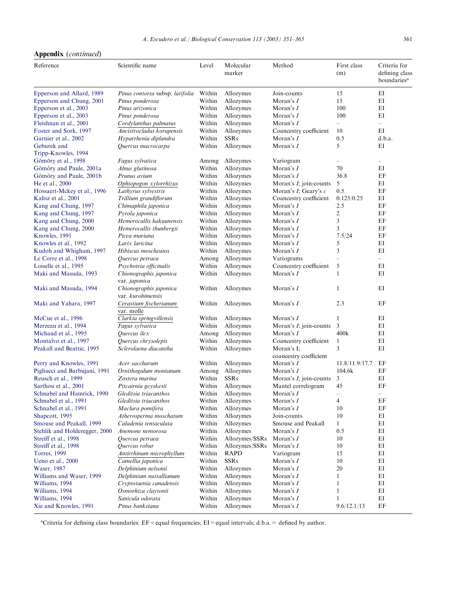# Appendix (continued)

| Reference                     | Scientific name                             | Level  | Molecular<br>marker | Method                    | First class<br>(m)       | Criteria for<br>defining class<br>boundaries <sup>a</sup> |
|-------------------------------|---------------------------------------------|--------|---------------------|---------------------------|--------------------------|-----------------------------------------------------------|
| Epperson and Allard, 1989     | Pinus contorta subsp. latifolia             | Within | Allozymes           | Join-counts               | 15                       | ΕI                                                        |
| Epperson and Chung, 2001      | Pinus ponderosa                             | Within | Allozymes           | Moran's $I$               | 15                       | EI                                                        |
| Epperson et al., 2003         | Pinus arizonica                             | Within | Allozymes           | Moran's $I$               | 100                      | EI                                                        |
| Epperson et al., 2003         | Pinus ponderosa                             | Within | Allozymes           | Moran's $I$               | 100                      | ΕI                                                        |
| Fleishnan et al., 2001        | Cordylanthus palmatus                       | Within | Allozymes           | Moran's $I$               | $\equiv$                 | $\overline{\phantom{0}}$                                  |
| Foster and Sork, 1997         | Ancistrocladus korupensis                   | Within | Allozymes           | Coancestry coefficient    | 10                       | EI                                                        |
| Garnier et al., 2002          | Hyparrhenia diplandra                       | Within | <b>SSRs</b>         | Moran's $I$               | 0.5                      | d.b.a.                                                    |
| Geburek and                   | Quercus macrocarpa                          | Within | Allozymes           | Moran's $I$               | 5                        | EI                                                        |
| Tripp-Knowles, 1994           |                                             |        |                     |                           |                          |                                                           |
| Gömöry et al., 1998           | Fagus sylvatica                             | Among  | Allozymes           | Variogram                 | —                        |                                                           |
| Gömöry and Paule, 2001a       | Alnus glutinosa                             | Within | Allozymes           | Moran's $I$               | 70                       | ΕI                                                        |
| Gömöry and Paule, 2001b       | Prunus avium                                | Within | Allozymes           | Moran's $I$               | 36.8                     | $\rm EF$                                                  |
| He et al., 2000               | Ophiopogon xylorrhizus                      | Within | Allozymes           | Moran's $I$ ; join-counts | 5                        | ΕI                                                        |
| Hossaert-Mckey et al., 1996   | Lathyrus sylvestris                         | Within | Allozymes           | Moran's $I$ ; Geary's $c$ | 0.5                      | EF                                                        |
| Kalisz et al., 2001           | Trillium grandiflorum                       | Within | Allozymes           | Coancestry coefficient    | 0.125/0.25               | ΕI                                                        |
| Kang and Chung, 1997          | Chimaphila japonica                         | Within | Allozymes           | Moran's $I$               | 2.5                      | EF                                                        |
| Kang and Chung, 1997          | Pyrola japonica                             | Within | Allozymes           | Moran's $I$               | $\overline{c}$           | EF                                                        |
| Kang and Chung, 2000          | Hemerocallis hakuunensis                    | Within | Allozymes           | Moran's $I$               | 3                        | EF                                                        |
| Kang and Chung, 2000          | Hemerocallis thunbergii                     | Within | Allozymes           | Moran's $I$               | 3                        | EF                                                        |
| Knowles, 1991                 | Picea mariana                               | Within | Allozymes           | Moran's $I$               | 7.5/24                   | EF                                                        |
| Knowles et al., 1992          | Larix laricina                              | Within | Allozymes           | Moran's $I$               | 5                        | ΕI                                                        |
| Kudoh and Whigham, 1997       | Hibiscus moscheutos                         | Within | Allozymes           | Moran's $I$               | 3                        | ΕI                                                        |
| Le Corre et al., 1998         | Quercus petraea                             | Among  | Allozymes           | Variograms                | $\overline{\phantom{0}}$ | $\equiv$                                                  |
| Loiselle et al., 1995         | Psychotria officinalis                      | Within | Allozymes           | Coancestry coefficient    | 5                        | ΕI                                                        |
| Maki and Masuda, 1993         | Chionographis japonica<br>var. japonica     | Within | Allozymes           | Moran's $I$               | 1                        | EI                                                        |
| Maki and Masuda, 1994         | Chionographis japonica<br>var. kurohimensis | Within | Allozymes           | Moran's $I$               | 1                        | EI                                                        |
| Maki and Yahara, 1997         | Cerastium fischerianum<br>var. molle        | Within | Allozymes           | Moran's I                 | 2.3                      | EF                                                        |
| McCue et al., 1996            | Clarkia springvillensis                     | Within | Allozymes           | Moran's $I$               | 1                        | EI                                                        |
| Merzeau et al., 1994          | Fagus sylvatica                             | Within | Allozymes           | Moran's I; join-counts    | 3                        | EI                                                        |
| Michaud et al., 1995          | Quercus ilex                                | Among  | Allozymes           | Moran's $I$               | 400k                     | ΕI                                                        |
| Montalvo et al., 1997         | Quercus chrysolepis                         | Within | Allozymes           | Coancestry coefficient    | 1                        | EI                                                        |
| Peakall and Beattie, 1995     | Sclerolaena diacantha                       | Within | Allozymes           | Moran's I;                | 3                        | ΕI                                                        |
|                               |                                             |        |                     | coancestry coefficient    |                          |                                                           |
| Perry and Knowles, 1991       | Acer saccharum                              | Within | Allozymes           | Moran's $I$               | 11.8/11.9/17.7           | EF                                                        |
| Pigliucci and Barbujani, 1991 | Ornithogalum montanum                       | Among  | Allozymes           | Moran's $I$               | 104.6k                   | EF                                                        |
| Reusch et al., 1999           | Zostera marina                              | Within | <b>SSRs</b>         | Moran's $I$ ; join-counts | 3                        | ΕI                                                        |
| Sarthou et al., 2001          | Pitcairnia geyskesii                        | Within | Allozymes           | Mantel correlogram        | 45                       | EF                                                        |
| Schnabel and Hamrick, 1990    | Gleditsia triacanthos                       | Within | Allozymes           | Moran's <i>I</i>          |                          | -                                                         |
| Schnabel et al., 1991         | Gleditsia triacanthos                       | Within | Allozymes           | Moran's $I$               | 4                        | $\rm EF$                                                  |
| Schnabel et al., 1991         | Maclura pomifera                            | Within | Allozymes           | Moran's I                 | 10                       | $\rm EF$                                                  |
| Shapcott, 1995                | Atherosperma moschatum                      | Within | Allozymes           | Join-counts               | 10                       | ΕI                                                        |
| Smouse and Peakall, 1999      | Caladenia tentaculata                       | Within | Allozymes           | Smouse and Peakall        | $\mathbf{1}$             | EI                                                        |
| Stehlik and Holderegger, 2000 | Anemone nemorosa                            | Within | Allozymes           | Moran's $I$               | 0.5                      | EI                                                        |
| Streiff et al., 1998          | Quercus petraea                             | Within | Allozymes/SSRs      | Moran's $I$               | 10                       | ΕI                                                        |
| Streiff et al., 1998          | Quercus robur                               | Within | Allozymes/SSRs      | Moran's I                 | 10                       | EI                                                        |
| <b>Torres</b> , 1999          | Antirrhinum microphyllum                    | Within | <b>RAPD</b>         | Variogram                 | 15                       | EI                                                        |
| Ueno et al., 2000             | Camellia japonica                           | Within | <b>SSRs</b>         | Moran's $I$               | 10                       | ΕI                                                        |
| Waser, 1987                   | Delphinium nelsonii                         | Within | Allozymes           | Moran's $I$               | 20                       | EI                                                        |
| Williams and Waser, 1999      | Delphinium nuttallianum                     | Within | Allozymes           | Moran's $I$               | $\mathbf{1}$             | EI                                                        |
| Williams, 1994                | Cryptotaenia canadensis                     | Within | Allozymes           | Moran's I                 | $\mathbf{1}$             | EI                                                        |
| Williams, 1994                | Osmorhiza claytonii                         | Within | Allozymes           | Moran's I                 | $\mathbf{1}$             | EI                                                        |
| Williams, 1994                | Sanicula odorata                            | Within | Allozymes           | Moran's $I$               | 1                        | EI                                                        |
| Xie and Knowles, 1991         | Pinus banksiana                             | Within | Allozymes           | Moran's I                 | 9.6/12.1/13              | EF                                                        |

a Criteria for defining class boundaries: EF=equal frequencies; EI=equal intervals; d.b.a.= defined by author.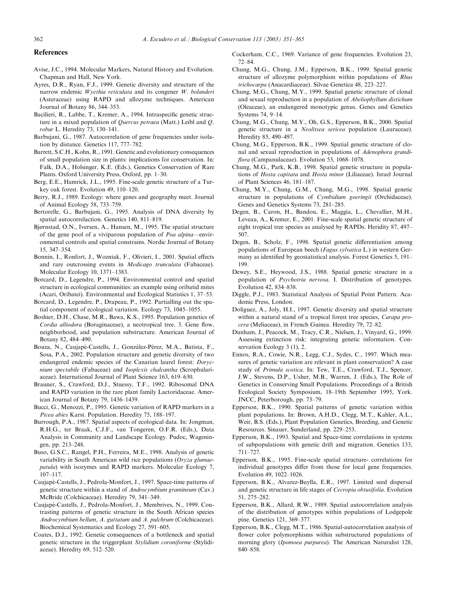#### **References**

- Avise, J.C., 1994. Molecular Markers, Natural History and Evolution. Chapman and Hall, New York.
- Ayres, D.R., Ryan, F.J., 1999. Genetic diversity and structure of the narrow endemic Wyethia reticulata and its congener W. bolanderi (Asteraceae) using RAPD and allozyme techniques. American Journal of Botany 86, 344–353.
- Bacilieri, R., Labbe, T., Kremer, A., 1994. Intraspecific genetic structure in a mixed population of Quercus petraea (Matt.) Leibl and Q. robur L. Heredity 73, 130–141.
- Barbujani, G., 1987. Autocorrelation of gene frequencies under isolation by distance. Genetics 117, 777–782.
- Barrett, S.C.H., Kohn, R., 1991. Genetic and evolutionary consequences of small population size in plants: implications for conservation. In: Falk, D.A., Holsinger, K.E. (Eds.), Genetics Conservation of Rare Plants. Oxford University Press, Oxford, pp. 1–30.
- Berg, E.E., Hamrick, J.L., 1995. Fine-scale genetic structure of a Turkey oak forest. Evolution 49, 110–120.
- Berry, R.J., 1989. Ecology: where genes and geography meet. Journal of Animal Ecology 58, 733–759.
- Bertorelle, G., Barbujani, G., 1995. Analysis of DNA diversity by spatial autocorrelaction. Genetics 140, 811–819.
- Bjørnstad, O.N., Iversen, A., Hansen, M., 1995. The spatial structure of the gene pool of a viviparous population of Poa alpina—environmental controls and spatial constrains. Nordic Journal of Botany 15, 347–354.
- Bonnin, I., Ronfort, J., Wozniak, F., Olivieri, I., 2001. Spatial effects and rare outcrossing events in Medicago trunculata (Fabaceae). Molecular Ecology 10, 1371–1383.
- Borcard, D., Legendre, P., 1994. Environmental control and spatial structure in ecological communities: an example using oribatid mites (Acari, Oribatei). Environmental and Ecological Statistics 1, 37–53.
- Borcard, D., Legendre, P., Drapeau, P., 1992. Partialling out the spatial component of ecological variation. Ecology 73, 1045–1055.
- Boshier, D.H., Chase, M.R., Bawa, K.S., 1995. Population genetics of Cordia alliodora (Boraginaceae), a neotropical tree. 3. Gene flow, neighborhood, and population substructure. American Journal of Botany 82, 484–490.
- Bouza, N., Caujapé-Castells, J., González-Pérez, M.A., Batista, F., Sosa, P.A., 2002. Population structure and genetic diversity of two endangered endemic species of the Canarian laurel forest: Dorycnium spectabile (Fabaceae) and Isoplexis chalcantha (Scrophulariaceae). International Journal of Plant Science 163, 619–630.
- Brauner, S., Crawford, D.J., Stuessy, T.F., 1992. Ribosomal DNA and RAPD variation in the rare plant family Lactoridaceae. American Journal of Botany 79, 1436–1439.
- Bucci, G., Menozzi, P., 1995. Genetic variation of RAPD markers in a Picea abies Karst. Population. Heredity 75, 188–197.
- Burrough, P.A., 1987. Spatial aspects of ecological data. In: Jongman, R.H.G., ter Braak, C.J.F., van Tongeren, O.F.R. (Eds.), Data Analysis in Community and Landscape Ecology. Pudoc, Wageningen, pp. 213–248.
- Buso, G.S.C., Rangel, P.H., Ferreira, M.E., 1998. Analysis of genetic variability in South American wild rice populations (Oryza glumaepatula) with isozymes and RAPD markers. Molecular Ecology 7, 107–117.
- Caujapé-Castells, J., Pedrola-Monfort, J., 1997. Space-time patterns of genetic structure within a stand of Androcymbium gramineum (Cav.) McBride (Colchicaceae). Heredity 79, 341–349.
- Caujapé-Castells, J., Pedrola-Monfort, J., Membrives, N., 1999. Contrasting patterns of genetic structure in the South African species Androcymbium bellum, A. guttatum and A. pulchrum (Colchicaceae). Biochemical Systematics and Ecology 27, 591–605.
- <span id="page-11-0"></span>Coates, D.J., 1992. Genetic consequences of a bottleneck and spatial genetic structure in the triggerplant Stylidium coroniforme (Stylidiaceae). Heredity 69, 512–520.
- Cockerham, C.C., 1969. Variance of gene frequencies. Evolution 23, 72–84.
- Chung, M.G., Chung, J.M., Epperson, B.K., 1999. Spatial genetic structure of allozyme polymorphism within populations of Rhus trichocarpa (Anacardiaceae). Silvae Genetica 48, 223–227.
- Chung, M.G., Chung, M.Y., 1999. Spatial genetic structure of clonal and sexual reproduction in a population of Abeliophyllum distichum (Oleaceae), an endangered monotypic genus. Genes and Genetics Systems 74, 9–14.
- Chung, M.G., Chung, M.Y., Oh, G.S., Epperson, B.K., 2000. Spatial genetic structure in a Neolitsea sericea population (Lauraceae). Heredity 85, 490–497.
- Chung, M.G., Epperson, B.K., 1999. Spatial genetic structure of clonal and sexual reproduction in populations of Adenophora grandiflora (Campanulaceae). Evolution 53, 1068-1078.
- Chung, M.G., Park, K.B., 1998. Spatial genetic structure in populations of Hosta capitata and Hosta minor (Liliaceae). Israel Journal of Plant Sciences 46, 181–187.
- Chung, M.Y., Chung, G.M., Chung, M.G., 1998. Spatial genetic structure in populations of Cymbidium goeringii (Orchidaceae). Genes and Genetics Systems 73, 281–285.
- Degen, B., Caron, H., Bandou, E., Maggia, L., Chevallier, M.H., Leveau, A., Kremer, E., 2001. Fine-scale spatial genetic structure of eight tropical tree species as analysed by RAPDs. Heridity 87, 497– 507.
- Degen, B., Scholz, F., 1998. Spatial genetic differentiation among populations of European beech (Fagus sylvatica L.) in western Germany as identified by geostatistical analysis. Forest Genetics 5, 191– 199.
- Dewey, S.E., Heywood, J.S., 1988. Spatial genetic structure in a population of Psychotria nervosa. I. Distribution of genotypes. Evolution 42, 834–838.
- Diggle, P.J., 1983. Statistical Analysis of Spatial Point Pattern. Academic Press, London.
- Doliguez, A., Joly, H.I., 1997. Genetic diversity and spatial structure within a natural stand of a tropical forest tree species, Carapa procera (Meliaceae), in French Guinea. Heredity 79, 72–82.
- Dunham, J., Peacock, M., Tracy, C.R., Nielsen, J., Vinyard, G., 1999. Assessing extinction risk: integrating genetic information. Conservation Ecology 3 (1), 2.
- Ennos, R.A., Cowie, N.R., Legg, C.J., Sydes, C., 1997. Which measures of genetic variation are relevant in plant conservation? A case study of Primula scotica. In: Tew, T.E., Crawford, T.J., Spencer, J.W., Stevens, D.P., Usher, M.B., Warren, J. (Eds.), The Role of Genetics in Conserving Small Populations. Proceedings of a British Ecological Society Symposium, 18–19th September 1995, York. JNCC, Peterborough, pp. 73–79.
- Epperson, B.K., 1990. Spatial patterns of genetic variation within plant populations. In: Brown, A.H.D., Clegg, M.T., Kahler, A.L., Weir, B.S. (Eds.), Plant Population Genetics, Breeding, and Genetic Resources. Sinauer, Sunderland, pp. 229–253.
- Epperson, B.K., 1993. Spatial and Space-time correlations in systems of subpopulations with genetic drift and migration. Genetics 133, 711–727.
- Epperson, B.K., 1995. Fine-scale spatial structure- correlations for individual genotypes differ from those for local gene frequencies. Evolution 49, 1022–1026.
- Epperson, B.K., Alvarez-Buylla, E.R., 1997. Limited seed dispersal and genetic structure in life stages of Cecropia obtusifolia. Evolution 51, 275–282.
- Epperson, B.K., Allard, R.W., 1989. Spatial autocorrelation analysis of the distribution of genotypes within populations of Lodgepole pine. Genetics 121, 369–377.
- Epperson, B.K., Clegg, M.T., 1986. Spatial-autocorrelation analysis of flower color polymorphisms within substructured populations of morning glory (Ipomoea purpurea). The American Naturalist 128, 840–858.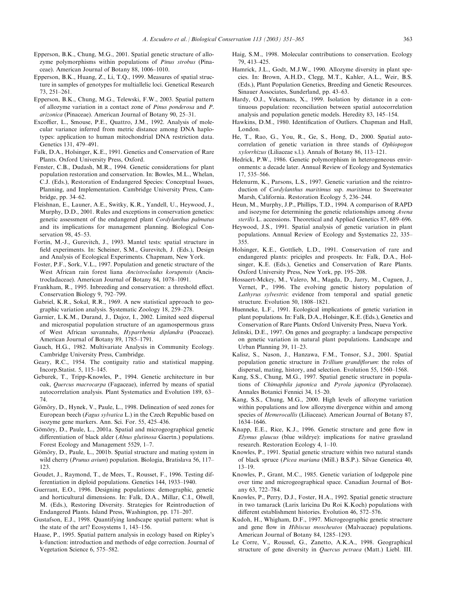- Epperson, B.K., Chung, M.G., 2001. Spatial genetic structure of allozyme polymorphisms within populations of Pinus strobus (Pinaceae). American Journal of Botany 88, 1006–1010.
- Epperson, B.K., Huang, Z., Li, T.Q., 1999. Measures of spatial structure in samples of genotypes for multiallelic loci. Genetical Research 73, 251–261.
- Epperson, B.K., Chung, M.G., Telewski, F.W., 2003. Spatial pattern of allozyme variation in a contact zone of Pinus ponderosa and P. arizonica (Pinaceae). American Journal of Botany 90, 25–31.
- Excoffier, L., Smouse, P.E., Quattro, J.M., 1992. Analysis of molecular variance inferred from metric distance among DNA haplotypes: application to human mitochondrial DNA restriction data. Genetics 131, 479–491.
- Falk, D.A., Holsinger, K.E., 1991. Genetics and Conservation of Rare Plants. Oxford University Press, Oxford.
- Fenster, C.B., Dudash, M.R., 1994. Genetic considerations for plant population restoration and conservation. In: Bowles, M.L., Whelan, C.J. (Eds.), Restoration of Endangered Species: Conceptual Issues, Planning, and Implementation. Cambridge University Press, Cambridge, pp. 34–62.
- Fleishnan, E., Launer, A.E., Switky, K.R., Yandell, U., Heywood, J., Murphy, D.D., 2001. Rules and exceptions in conservation genetics: genetic assessment of the endangered plant Cordylanthus palmatus and its implications for management planning. Biological Conservation 98, 45–53.
- Fortin, M.-J., Gurevitch, J., 1993. Mantel tests: spatial structure in field experiments. In: Scheiner, S.M., Gurevitch, J. (Eds.), Design and Analysis of Ecological Experiments. Chapmam, New York.
- Foster, P.F., Sork, V.L., 1997. Population and genetic structure of the West African rain forest liana Ancistrocladus korupensis (Ancistrocladaceae). American Journal of Botany 84, 1078–1091.
- Frankham, R., 1995. Inbreeding and conservation: a threshold effect. Conservation Biology 9, 792–799.
- Gabriel, K.R., Sokal, R.R., 1969. A new statistical approach to geographic variation analysis. Systematic Zoology 18, 259–278.
- Garnier, L.K.M., Durand, J., Dajoz, I., 2002. Limited seed dispersal and microspatial population structure of an agamospermous grass of West African savannahs, Hyparrhenia diplandra (Poaceae). American Journal of Botany 89, 1785–1791.
- Gauch, H.G., 1982. Multivariate Analysis in Community Ecology. Cambridge University Press, Cambridge.
- Geary, R.C., 1954. The contiguity ratio and statistical mapping. Incorp.Statist. 5, 115–145.
- Geburek, T., Tripp-Knowles, P., 1994. Genetic architecture in bur oak, Quercus macrocarpa (Fagaceae), inferred by means of spatial autocorrelation analysis. Plant Systematics and Evolution 189, 63– 74.
- Gömöry, D., Hynek, V., Paule, L., 1998. Delineation of seed zones for European beech (Fagus sylvatica L.) in the Czech Republic based on isozyme gene markers. Ann. Sci. For. 55, 425–436.
- Gömöry, D., Paule, L., 2001a. Spatial and microgeographical genetic differentiation of black alder (Alnus glutinosa Gaertn.) populations. Forest Ecology and Management 5529, 1–7.
- Gömöry, D., Paule, L., 2001b. Spatial structure and mating system in wild cherry (Prunus avium) population. Biologia, Bratislava 56, 117-123.
- Goudet, J., Raymond, T., de Mees, T., Rousset, F., 1996. Testing differentiation in diploid populations. Genetics 144, 1933–1940.
- Guerrant, E.O., 1996. Designing populations: demographic, genetic and horticultural dimensions. In: Falk, D.A., Millar, C.I., Olwell, M. (Eds.), Restoring Diversity. Strategies for Reintroduction of Endangered Plants. Island Press, Washington, pp. 171–207.
- Gustafson, E.J., 1998. Quantifying landscape spatial pattern: what is the state of the art? Ecosystems 1, 143–156.
- <span id="page-12-0"></span>Haase, P., 1995. Spatial pattern analysis in ecology based on Ripley's k-function: introduction and methods of edge correction. Journal of Vegetation Science 6, 575–582.
- Haig, S.M., 1998. Molecular contributions to conservation. Ecology 79, 413–425.
- Hamrick, J.L., Godt, M.J.W., 1990. Allozyme diversity in plant species. In: Brown, A.H.D., Clegg, M.T., Kahler, A.L., Weir, B.S. (Eds.), Plant Population Genetics, Breeding and Genetic Resources. Sinauer Associates, Sunderland, pp. 43–63.
- Hardy, O.J., Vekemans, X., 1999. Isolation by distance in a continuous population: reconciliation between spatial autocorrelation analysis and population genetic models. Heredity 83, 145–154.
- Hawkins, D.M., 1980. Identification of Outliers. Chapman and Hall, London.
- He, T., Rao, G., You, R., Ge, S., Hong, D., 2000. Spatial autocorrelation of genetic variation in three stands of Ophiopogon xylorrhizus (Liliaceae s.l.). Annals of Botany 86, 113–121.
- Hedrick, P.W., 1986. Genetic polymorphism in heterogeneous environments: a decade later. Annual Review of Ecology and Systematics 17, 535–566.
- Helenurm, K., Parsons, L.S., 1997. Genetic variation and the reintroduction of Cordylanthus maritimus ssp. maritimus to Sweetwater Marsh, California. Restoration Ecology 5, 236–244.
- Heun, M., Murphy, J.P., Phillips, T.D., 1994. A comparison of RAPD and isozyme for determining the genetic relationships among Avena sterilis L. accessions. Theoretical and Applied Genetics 87, 689–696.
- Heywood, J.S., 1991. Spatial analysis of genetic variation in plant populations. Annual Review of Ecology and Systematics 22, 335– 355.
- Holsinger, K.E., Gottlieb, L.D., 1991. Conservation of rare and endangered plants: priciples and prospects. In: Falk, D.A., Holsinger, K.E. (Eds.), Genetics and Conservation of Rare Plants. Oxford University Press, New York, pp. 195–208.
- Hossaert-Mckey, M., Valero, M., Magda, D., Jarry, M., Cuguen, J., Vernet, P., 1996. The evolving genetic history population of Lathyrus sylvestris: evidence from temporal and spatial genetic structure. Evolution 50, 1808–1821.
- Huenneke, L.F., 1991. Ecological implications of genetic variation in plant populations. In: Falk, D.A., Holsinger, K.E. (Eds.), Genetics and Conservation of Rare Plants. Oxford University Press, Nueva York.
- Jelinski, D.E., 1997. On genes and geography: a landscape perspective on genetic variation in natural plant populations. Landscape and Urban Planning 39, 11–23.
- Kalisz, S., Nason, J., Hanzawa, F.M., Tonsor, S.J., 2001. Spatial population genetic structure in Trillium grandiflorum: the roles of dispersal, mating, history, and selection. Evolution 55, 1560–1568.
- Kang, S.S., Chung, M.G., 1997. Spatial genetic structure in populations of Chimaphila japonica and Pyrola japonica (Pyrolaceae). Annales Botanici Fennici 34, 15–20.
- Kang, S.S., Chung, M.G., 2000. High levels of allozyme variation within populations and low allozyme divergence within and among species of Hemerocallis (Liliaceae). American Journal of Botany 87, 1634–1646.
- Knapp, E.E., Rice, K.J., 1996. Genetic structure and gene flow in Elymus glaucus (blue wildrye): implications for native grassland research. Restoration Ecology 4, 1–10.
- Knowles, P., 1991. Spatial genetic structure within two natural stands of black spruce (Picea mariana (Mill.) B.S.P.). Silvae Genetica 40, 13–19.
- Knowles, P., Grant, M.C., 1985. Genetic variation of lodgepole pine over time and microgeographical space. Canadian Journal of Botany 63, 722–784.
- Knowles, P., Perry, D.J., Foster, H.A., 1992. Spatial genetic structure in two tamarack (Larix laricina Du Roi K.Koch) populations with different establishment histories. Evolution 46, 572–576.
- Kudoh, H., Whigham, D.F., 1997. Microgeographic genetic structure and gene flow in Hibiscus moscheutos (Malvaceae) populations. American Journal of Botany 84, 1285–1293.
- Le Corre, V., Roussel, G., Zanetto, A.K.A., 1998. Geographical structure of gene diversity in Quercus petraea (Matt.) Liebl. III.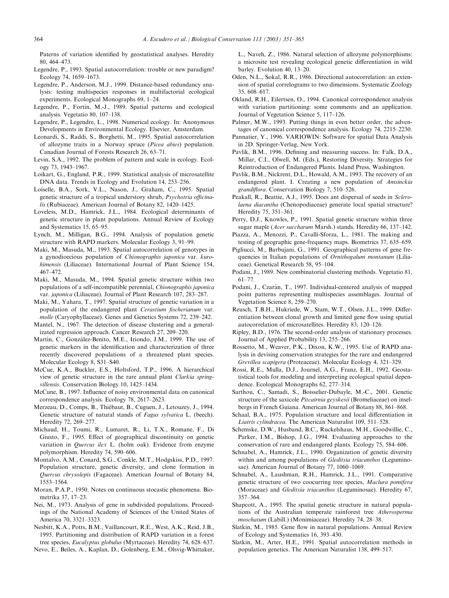Paterns of variation identified by geostatistical analyses. Heredity 80, 464–473.

- Legendre, P., 1993. Spatial autocorrelation: trouble or new paradigm? Ecology 74, 1659–1673.
- Legendre, P., Anderson, M.J., 1999. Distance-based redundancy analysis: testing multispecies responses in multifactorial ecological experiments. Ecological Monographs 69, 1–24.
- Legendre, P., Fortin, M.-J., 1989. Spatial patterns and ecological analysis. Vegetatio 80, 107–138.
- Legendre, P., Legendre, L., 1998. Numerical ecology. In: Anonymous Developments in Environmental Ecology. Elsevier, Amsterdam.
- Leonardi, S., Raddi, S., Borghetti, M., 1995. Spatial autocorrelation of allozyme traits in a Norway spruce (Picea abies) population. Canadian Journal of Forests Research 26, 63–71.
- Levin, S.A., 1992. The problem of pattern and scale in ecology. Ecology 73, 1943–1967.
- Loikart, G., England, P.R., 1999. Statistical analysis of microsatellite DNA data. Trends in Ecology and Evolution 14, 253–256.
- Loiselle, B.A., Sork, V.L., Nason, J., Graham, C., 1995. Spatial genetic structure of a tropical understory shrub, Psychotria officinalis (Rubiaceae). American Journal of Botany 82, 1420-1425.
- Loveless, M.D., Hamrick, J.L., 1984. Ecological determinants of genetic structure in plant populations. Annual Review of Ecology and Systematics 15, 65–95.
- Lynch, M., Milligan, B.G., 1994. Analysis of population genetic structure with RAPD markers. Molecular Ecology 3, 91–99.
- Maki, M., Masuda, M., 1993. Spatial autocorrelation of genotypes in a gynodioecious population of Chionographis japonica var. kurohimensis (Liliaceae). International Journal of Plant Science 154, 467–472.
- Maki, M., Masuda, M., 1994. Spatial genetic structure within two populations of a self-incompatible perennial, Chionographis japonica var. japonica (Liliaceae). Journal of Plant Research 107, 283-287.
- Maki, M., Yahara, T., 1997. Spatial structure of genetic variation in a population of the endangered plant Cerastium fischerianum var. molle (Caryophyllaceae). Genes and Genetics Systems 72, 239–242.
- Mantel, N., 1967. The detection of disease clustering and a generalizated regression approach. Cancer Research 27, 209–220.
- Martín, C., González-Benito, M.E., Iriondo, J.M., 1999. The use of genetic markers in the identification and characterization of three recently discovered populations of a threatened plant species. Molecular Ecology 8, S31–S40.
- McCue, K.A., Buckler, E.S., Holtsford, T.P., 1996. A hierarchical view of genetic structure in the rare annual plant Clarkia springvillensis. Conservation Biology 10, 1425–1434.
- McCune, B., 1997. Influence of noisy environmental data on canonical correspondence analysis. Ecology 78, 2617–2623.
- Merzeau, D., Comps, B., Thiébaut, B., Cuguen, J., Letouzey, J., 1994. Genetic structure of natural stands of Fagus sylvatica L. (beech). Heredity 72, 269–277.
- Michaud, H., Toumi, R., Lumaret, R., Li, T.X., Romane, F., Di Giusto, F., 1995. Effect of geographical discontinuity on genetic variation in Quercus ilex L. (holm oak). Evidence from enzyme polymorphism. Heredity 74, 590–606.
- Montalvo, A.M., Conard, S.G., Conkle, M.T., Hodgskiss, P.D., 1997. Population structure, genetic diversity, and clone formation in Quercus chrysolepis (Fagaceae). American Journal of Botany 84, 1553–1564.
- Moran, P.A.P., 1950. Notes on continuous stocastic phenomena. Biometrika 37, 17–23.
- Nei, M., 1973. Analysis of gene in subdivided populations. Proceedings of the National Academy of Sciences of the United States of America 70, 3321–3323.
- Nesbitt, K.A., Potts, B.M., Vaillancourt, R.E., West, A.K., Reid, J.B., 1995. Partitioning and distribution of RAPD variation in a forest tree species, Eucalyptus globulus (Myrtaceae). Heredity 74, 628–637.
- <span id="page-13-0"></span>Nevo, E., Beiles, A., Kaplan, D., Golenberg, E.M., Olsvig-Whittaker,

L., Naveh, Z., 1986. Natural selection of allozyme polymorphisms: a microsite test revealing ecological genetic differentiation in wild barley. Evolution 40, 13–20.

- Oden, N.L., Sokal, R.R., 1986. Directional autocorrelation: an extension of spatial correlograms to two dimensions. Systematic Zoology 35, 608–617.
- Okland, R.H., Eilertsen, O., 1994. Canonical correspondence analysis with variation partitioning: some comments and an application. Journal of Vegetation Science 5, 117–126.
- Palmer, M.W., 1993. Putting things in even better order, the adventages of canonical correspondence analysis. Ecology 74, 2215–2230.
- Pannatier, Y., 1996. VARIOWIN: Software for spatial Data Analysis in 2D. Springer-Verlag, New York.
- Pavlik, B.M., 1996. Defining and measuring success. In: Falk, D.A., Millar, C.I., Olwell, M. (Eds.), Restoring Diversity. Strategies for Reintroduction of Endangered Plants. Island Press, Washington.
- Pavlik, B.M., Nickrent, D.L., Howald, A.M., 1993. The recovery of an endangered plant. I. Creating a new population of Amsinckia grandiflora. Conservation Biology 7, 510–526.
- Peakall, R., Beattie, A.J., 1995. Does ant dispersal of seeds in Sclerolaena diacantha (Chenopodiaceae) generate local spatial structure? Heredity 75, 351–361.
- Perry, D.J., Knowles, P., 1991. Spatial genetic structure within three sugar maple (Acer saccharum Marsh.) stands. Heredity 66, 137–142.
- Piazza, A., Menozzi, P., Cavalli-Sforza, L., 1981. The making and testing of geographic gene-frequency maps. Biometrics 37, 635–659.
- Pigliucci, M., Barbujani, G., 1991. Geographical patterns of gene frequencies in Italian populations of Ornithogalum montanum (Liliaceae). Genetical Research 58, 95–104.
- Podani, J., 1989. New combinatorial clustering methods. Vegetatio 81, 61–77.
- Podani, J., Czarán, T., 1997. Individual-centered analysis of mapped point patterns representing multispecies assemblages. Journal of Vegetation Science 8, 259–270.
- Reusch, T.B.H., Hukriede, W., Stam, W.T., Olsen, J.L., 1999. Differentiation between clonal growth and limited gene flow using spatial autocorrelation of microsatellites. Heredity 83, 120–126.
- Ripley, B.D., 1976. The second-order analysis of stationary processes. Journal of Applied Probability 13, 255–266.
- Rossetto, M., Weaver, P.K., Dixon, K.W., 1995. Use of RAPD analysis in devising conservation strategies for the rare and endangered Grevillea scapigera (Proteaceae). Molecular Ecology 4, 321–329.
- Rossi, R.E., Mulla, D.J., Journel, A.G., Franz, E.H., 1992. Geostatistical tools for modeling and interpreting ecological spatial dependence. Ecological Monographs 62, 277–314.
- Sarthou, C., Samadi, S., Boisselier-Dubayle, M.-C., 2001. Genetic structure of the saxicole Pitcairnia geyskesii (Bromeliaceae) on inselbergs in French Guiana. American Journal of Botany 88, 861–868.
- Schaal, B.A., 1975. Population structure and local differentiation in Liatris cylindracea. The American Naturalist 109, 511–528.
- Schemske, D.W., Husband, B.C., Ruckelshaus, M.H., Goodwillie, C., Parker, I.M., Bishop, J.G., 1994. Evaluating approaches to the conservation of rare and endangered plants. Ecology 75, 584–606.
- Schnabel, A., Hamrick, J.L., 1990. Organization of genetic diversity within and among populations of Gleditsia triacanthos (Leguminosae). American Journal of Botany 77, 1060–1069.
- Schnabel, A., Laushman, R.H., Hamrick, J.L., 1991. Comparative genetic structure of two coocurring tree species, Maclura pomifera (Moraceae) and Gleditsia triacanthos (Leguminosae). Heredity 67, 357–364.
- Shapcott, A., 1995. The spatial genetic structure in natural populations of the Australian temperate rainforest tree Atherosperma moschatum (Labill.) (Monimiaceae). Heredity 74, 28–38.
- Slatkin, M., 1985. Gene flow in natural populations. Annual Review of Ecology and Systematics 16, 393–430.
- Slatkin, M., Arter, H.E., 1991. Spatial autocorrelation methods in population genetics. The American Naturalist 138, 499–517.